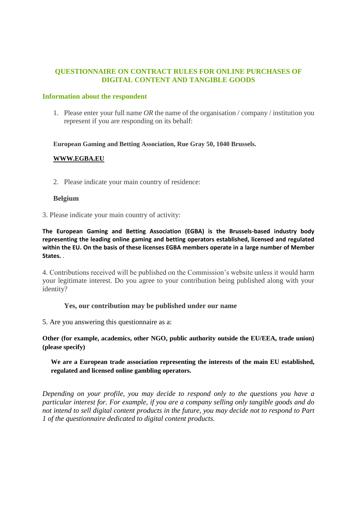# **QUESTIONNAIRE ON CONTRACT RULES FOR ONLINE PURCHASES OF DIGITAL CONTENT AND TANGIBLE GOODS**

#### **Information about the respondent**

1. Please enter your full name *OR* the name of the organisation / company / institution you represent if you are responding on its behalf:

#### **European Gaming and Betting Association, Rue Gray 50, 1040 Brussels.**

### **[WWW.EGBA.EU](http://www.egba.eu/)**

2. Please indicate your main country of residence:

### **Belgium**

3. Please indicate your main country of activity:

**The European Gaming and Betting Association (EGBA) is the Brussels-based industry body representing the leading online gaming and betting operators established, licensed and regulated within the EU. On the basis of these licenses EGBA members operate in a large number of Member States.** .

4. Contributions received will be published on the Commission's website unless it would harm your legitimate interest. Do you agree to your contribution being published along with your identity?

#### **Yes, our contribution may be published under our name**

5. Are you answering this questionnaire as a:

**Other (for example, academics, other NGO, public authority outside the EU/EEA, trade union) (please specify)**

### **We are a European trade association representing the interests of the main EU established, regulated and licensed online gambling operators.**

*Depending on your profile, you may decide to respond only to the questions you have a particular interest for. For example, if you are a company selling only tangible goods and do not intend to sell digital content products in the future, you may decide not to respond to Part 1 of the questionnaire dedicated to digital content products.*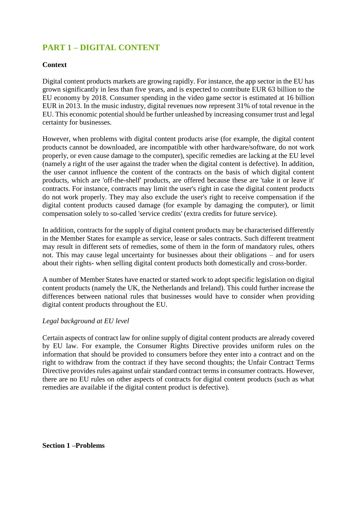# **PART 1 – DIGITAL CONTENT**

# **Context**

Digital content products markets are growing rapidly. For instance, the app sector in the EU has grown significantly in less than five years, and is expected to contribute EUR 63 billion to the EU economy by 2018. Consumer spending in the video game sector is estimated at 16 billion EUR in 2013. In the music industry, digital revenues now represent 31% of total revenue in the EU. This economic potential should be further unleashed by increasing consumer trust and legal certainty for businesses.

However, when problems with digital content products arise (for example, the digital content products cannot be downloaded, are incompatible with other hardware/software, do not work properly, or even cause damage to the computer), specific remedies are lacking at the EU level (namely a right of the user against the trader when the digital content is defective). In addition, the user cannot influence the content of the contracts on the basis of which digital content products, which are 'off-the-shelf' products, are offered because these are 'take it or leave it' contracts. For instance, contracts may limit the user's right in case the digital content products do not work properly. They may also exclude the user's right to receive compensation if the digital content products caused damage (for example by damaging the computer), or limit compensation solely to so-called 'service credits' (extra credits for future service).

In addition, contracts for the supply of digital content products may be characterised differently in the Member States for example as service, lease or sales contracts. Such different treatment may result in different sets of remedies, some of them in the form of mandatory rules, others not. This may cause legal uncertainty for businesses about their obligations – and for users about their rights- when selling digital content products both domestically and cross-border.

A number of Member States have enacted or started work to adopt specific legislation on digital content products (namely the UK, the Netherlands and Ireland). This could further increase the differences between national rules that businesses would have to consider when providing digital content products throughout the EU.

#### *Legal background at EU level*

Certain aspects of contract law for online supply of digital content products are already covered by EU law. For example, the Consumer Rights Directive provides uniform rules on the information that should be provided to consumers before they enter into a contract and on the right to withdraw from the contract if they have second thoughts; the Unfair Contract Terms Directive provides rules against unfair standard contract terms in consumer contracts. However, there are no EU rules on other aspects of contracts for digital content products (such as what remedies are available if the digital content product is defective).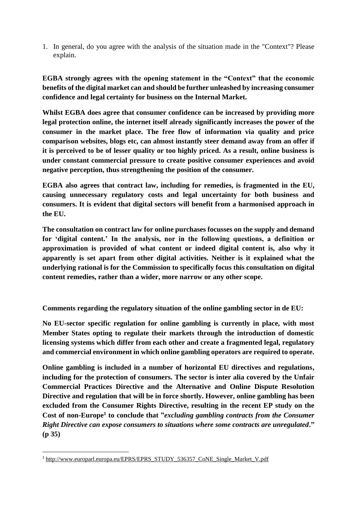1. In general, do you agree with the analysis of the situation made in the "Context"? Please explain.

**EGBA strongly agrees with the opening statement in the "Context" that the economic benefits of the digital market can and should be further unleashed by increasing consumer confidence and legal certainty for business on the Internal Market.** 

**Whilst EGBA does agree that consumer confidence can be increased by providing more legal protection online, the internet itself already significantly increases the power of the consumer in the market place. The free flow of information via quality and price comparison websites, blogs etc, can almost instantly steer demand away from an offer if it is perceived to be of lesser quality or too highly priced. As a result, online business is under constant commercial pressure to create positive consumer experiences and avoid negative perception, thus strengthening the position of the consumer.** 

**EGBA also agrees that contract law, including for remedies, is fragmented in the EU, causing unnecessary regulatory costs and legal uncertainty for both business and consumers. It is evident that digital sectors will benefit from a harmonised approach in the EU.** 

**The consultation on contract law for online purchases focusses on the supply and demand for 'digital content.' In the analysis, nor in the following questions, a definition or approximation is provided of what content or indeed digital content is, also why it apparently is set apart from other digital activities. Neither is it explained what the underlying rational is for the Commission to specifically focus this consultation on digital content remedies, rather than a wider, more narrow or any other scope.** 

**Comments regarding the regulatory situation of the online gambling sector in de EU:**

**No EU-sector specific regulation for online gambling is currently in place, with most Member States opting to regulate their markets through the introduction of domestic licensing systems which differ from each other and create a fragmented legal, regulatory and commercial environment in which online gambling operators are required to operate.** 

**Online gambling is included in a number of horizontal EU directives and regulations, including for the protection of consumers. The sector is inter alia covered by the Unfair Commercial Practices Directive and the Alternative and Online Dispute Resolution Directive and regulation that will be in force shortly. However, online gambling has been excluded from the Consumer Rights Directive, resulting in the recent EP study on the Cost of non-Europe<sup>1</sup> to conclude that "***excluding gambling contracts from the Consumer Right Directive can expose consumers to situations where some contracts are unregulated***." (p 35)**

**.** 

<sup>1</sup> [http://www.europarl.europa.eu/EPRS/EPRS\\_STUDY\\_536357\\_CoNE\\_Single\\_Market\\_V.pdf](http://www.europarl.europa.eu/EPRS/EPRS_STUDY_536357_CoNE_Single_Market_V.pdf)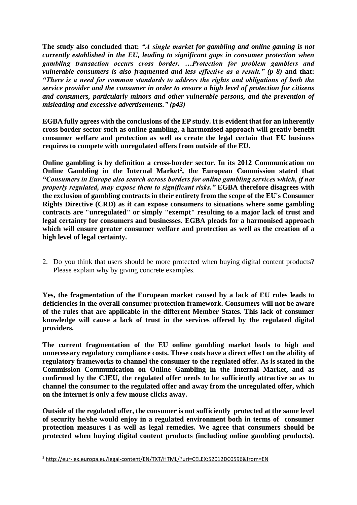**The study also concluded that:** *"A single market for gambling and online gaming is not currently established in the EU, leading to significant gaps in consumer protection when gambling transaction occurs cross border. …Protection for problem gamblers and vulnerable consumers is also fragmented and less effective as a result." (p 8)* **and that:**  *"There is a need for common standards to address the rights and obligations of both the service provider and the consumer in order to ensure a high level of protection for citizens and consumers, particularly minors and other vulnerable persons, and the prevention of misleading and excessive advertisements." (p43)* 

**EGBA fully agrees with the conclusions of the EP study. It is evident that for an inherently cross border sector such as online gambling, a harmonised approach will greatly benefit consumer welfare and protection as well as create the legal certain that EU business requires to compete with unregulated offers from outside of the EU.** 

**Online gambling is by definition a cross-border sector. In its 2012 Communication on Online Gambling in the Internal Market<sup>2</sup> , the European Commission stated that**  *"Consumers in Europe also search across borders for online gambling services which, if not properly regulated, may expose them to significant risks."* **EGBA therefore disagrees with the exclusion of gambling contracts in their entirety from the scope of the EU's Consumer Rights Directive (CRD) as it can expose consumers to situations where some gambling contracts are "unregulated" or simply "exempt" resulting to a major lack of trust and legal certainty for consumers and businesses. EGBA pleads for a harmonised approach which will ensure greater consumer welfare and protection as well as the creation of a high level of legal certainty.**

2. Do you think that users should be more protected when buying digital content products? Please explain why by giving concrete examples.

**Yes, the fragmentation of the European market caused by a lack of EU rules leads to deficiencies in the overall consumer protection framework. Consumers will not be aware of the rules that are applicable in the different Member States. This lack of consumer knowledge will cause a lack of trust in the services offered by the regulated digital providers.** 

**The current fragmentation of the EU online gambling market leads to high and unnecessary regulatory compliance costs. These costs have a direct effect on the ability of regulatory frameworks to channel the consumer to the regulated offer. As is stated in the Commission Communication on Online Gambling in the Internal Market, and as confirmed by the CJEU, the regulated offer needs to be sufficiently attractive so as to channel the consumer to the regulated offer and away from the unregulated offer, which on the internet is only a few mouse clicks away.** 

**Outside of the regulated offer, the consumer is not sufficiently protected at the same level of security he/she would enjoy in a regulated environment both in terms of consumer protection measures i as well as legal remedies. We agree that consumers should be protected when buying digital content products (including online gambling products).** 

**.** 

<sup>2</sup> <http://eur-lex.europa.eu/legal-content/EN/TXT/HTML/?uri=CELEX:52012DC0596&from=EN>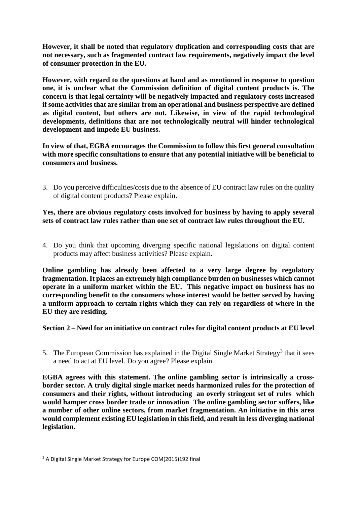**However, it shall be noted that regulatory duplication and corresponding costs that are not necessary, such as fragmented contract law requirements, negatively impact the level of consumer protection in the EU.** 

**However, with regard to the questions at hand and as mentioned in response to question one, it is unclear what the Commission definition of digital content products is. The concern is that legal certainty will be negatively impacted and regulatory costs increased if some activities that are similar from an operational and business perspective are defined as digital content, but others are not. Likewise, in view of the rapid technological developments, definitions that are not technologically neutral will hinder technological development and impede EU business.** 

**In view of that, EGBA encourages the Commission to follow this first general consultation with more specific consultations to ensure that any potential initiative will be beneficial to consumers and business.** 

3. Do you perceive difficulties/costs due to the absence of EU contract law rules on the quality of digital content products? Please explain.

**Yes, there are obvious regulatory costs involved for business by having to apply several sets of contract law rules rather than one set of contract law rules throughout the EU.** 

4. Do you think that upcoming diverging specific national legislations on digital content products may affect business activities? Please explain.

**Online gambling has already been affected to a very large degree by regulatory fragmentation. It places an extremely high compliance burden on businesses which cannot operate in a uniform market within the EU. This negative impact on business has no corresponding benefit to the consumers whose interest would be better served by having a uniform approach to certain rights which they can rely on regardless of where in the EU they are residing.**

**Section 2 – Need for an initiative on contract rules for digital content products at EU level**

5. The European Commission has explained in the Digital Single Market Strategy<sup>3</sup> that it sees a need to act at EU level. Do you agree? Please explain.

**EGBA agrees with this statement. The online gambling sector is intrinsically a crossborder sector. A truly digital single market needs harmonized rules for the protection of consumers and their rights, without introducing an overly stringent set of rules which would hamper cross border trade or innovation The online gambling sector suffers, like a number of other online sectors, from market fragmentation. An initiative in this area would complement existing EU legislation in this field, and result in less diverging national legislation.** 

**.** 

<sup>&</sup>lt;sup>3</sup> A Digital Single Market Strategy for Europe COM(2015)192 final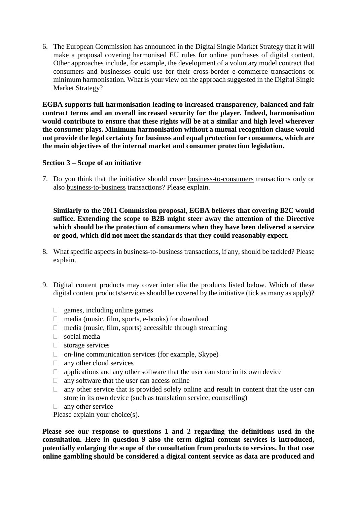6. The European Commission has announced in the Digital Single Market Strategy that it will make a proposal covering harmonised EU rules for online purchases of digital content. Other approaches include, for example, the development of a voluntary model contract that consumers and businesses could use for their cross-border e-commerce transactions or minimum harmonisation. What is your view on the approach suggested in the Digital Single Market Strategy?

**EGBA supports full harmonisation leading to increased transparency, balanced and fair contract terms and an overall increased security for the player. Indeed, harmonisation would contribute to ensure that these rights will be at a similar and high level wherever the consumer plays. Minimum harmonisation without a mutual recognition clause would not provide the legal certainty for business and equal protection for consumers, which are the main objectives of the internal market and consumer protection legislation.** 

### **Section 3 – Scope of an initiative**

7. Do you think that the initiative should cover business-to-consumers transactions only or also business-to-business transactions? Please explain.

**Similarly to the 2011 Commission proposal, EGBA believes that covering B2C would suffice. Extending the scope to B2B might steer away the attention of the Directive which should be the protection of consumers when they have been delivered a service or good, which did not meet the standards that they could reasonably expect.** 

- 8. What specific aspects in business-to-business transactions, if any, should be tackled? Please explain.
- 9. Digital content products may cover inter alia the products listed below. Which of these digital content products/services should be covered by the initiative (tick as many as apply)?
	- $\Box$  games, including online games
	- $\Box$  media (music, film, sports, e-books) for download
	- $\Box$  media (music, film, sports) accessible through streaming
	- $\Box$  social media
	- $\Box$  storage services
	- $\Box$  on-line communication services (for example, Skype)
	- $\Box$  any other cloud services
	- $\Box$  applications and any other software that the user can store in its own device
	- $\Box$  any software that the user can access online
	- $\Box$  any other service that is provided solely online and result in content that the user can store in its own device (such as translation service, counselling)
	- $\Box$  any other service

Please explain your choice(s).

**Please see our response to questions 1 and 2 regarding the definitions used in the consultation. Here in question 9 also the term digital content services is introduced, potentially enlarging the scope of the consultation from products to services. In that case online gambling should be considered a digital content service as data are produced and**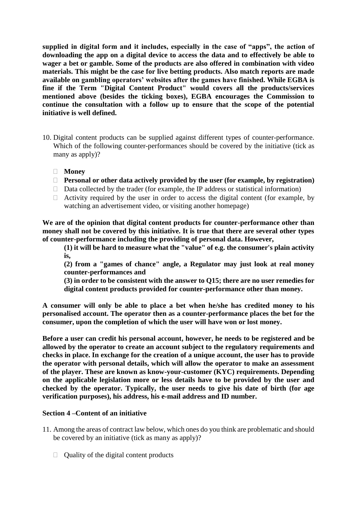**supplied in digital form and it includes, especially in the case of "apps", the action of downloading the app on a digital device to access the data and to effectively be able to wager a bet or gamble. Some of the products are also offered in combination with video materials. This might be the case for live betting products. Also match reports are made available on gambling operators' websites after the games have finished. While EGBA is fine if the Term "Digital Content Product" would covers all the products/services mentioned above (besides the ticking boxes), EGBA encourages the Commission to continue the consultation with a follow up to ensure that the scope of the potential initiative is well defined.**

- 10. Digital content products can be supplied against different types of counter-performance. Which of the following counter-performances should be covered by the initiative (tick as many as apply)?
	- **Money**
	- **Personal or other data actively provided by the user (for example, by registration)**
	- $\Box$  Data collected by the trader (for example, the IP address or statistical information)
	- $\Box$  Activity required by the user in order to access the digital content (for example, by watching an advertisement video, or visiting another homepage)

**We are of the opinion that digital content products for counter-performance other than money shall not be covered by this initiative. It is true that there are several other types of counter-performance including the providing of personal data. However,** 

**(1) it will be hard to measure what the "value" of e.g. the consumer's plain activity is,** 

**(2) from a "games of chance" angle, a Regulator may just look at real money counter-performances and** 

**(3) in order to be consistent with the answer to Q15; there are no user remedies for digital content products provided for counter-performance other than money.**

**A consumer will only be able to place a bet when he/she has credited money to his personalised account. The operator then as a counter-performance places the bet for the consumer, upon the completion of which the user will have won or lost money.**

**Before a user can credit his personal account, however, he needs to be registered and be allowed by the operator to create an account subject to the regulatory requirements and checks in place. In exchange for the creation of a unique account, the user has to provide the operator with personal details, which will allow the operator to make an assessment of the player. These are known as know-your-customer (KYC) requirements. Depending on the applicable legislation more or less details have to be provided by the user and checked by the operator. Typically, the user needs to give his date of birth (for age verification purposes), his address, his e-mail address and ID number.** 

# **Section 4 –Content of an initiative**

- 11. Among the areas of contract law below, which ones do you think are problematic and should be covered by an initiative (tick as many as apply)?
	- $\Box$  Quality of the digital content products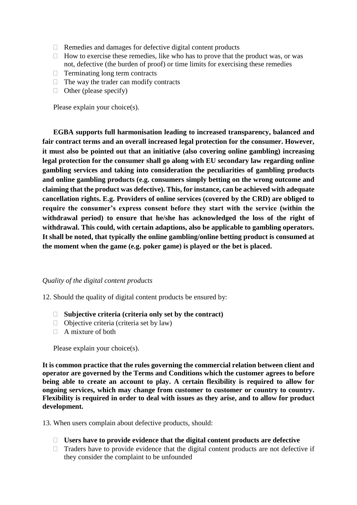- $\Box$  Remedies and damages for defective digital content products
- $\Box$  How to exercise these remedies, like who has to prove that the product was, or was not, defective (the burden of proof) or time limits for exercising these remedies
- $\Box$  Terminating long term contracts
- $\Box$  The way the trader can modify contracts
- $\Box$  Other (please specify)

Please explain your choice(s).

**EGBA supports full harmonisation leading to increased transparency, balanced and fair contract terms and an overall increased legal protection for the consumer. However, it must also be pointed out that an initiative (also covering online gambling) increasing legal protection for the consumer shall go along with EU secondary law regarding online gambling services and taking into consideration the peculiarities of gambling products and online gambling products (e.g. consumers simply betting on the wrong outcome and claiming that the product was defective). This, for instance, can be achieved with adequate cancellation rights. E.g. Providers of online services (covered by the CRD) are obliged to require the consumer's express consent before they start with the service (within the withdrawal period) to ensure that he/she has acknowledged the loss of the right of withdrawal. This could, with certain adaptions, also be applicable to gambling operators. It shall be noted, that typically the online gambling/online betting product is consumed at the moment when the game (e.g. poker game) is played or the bet is placed.**

#### *Quality of the digital content products*

- 12. Should the quality of digital content products be ensured by:
	- **Subjective criteria (criteria only set by the contract)**
	- $\Box$  Objective criteria (criteria set by law)
	- $\Box$  A mixture of both

Please explain your choice(s).

**It is common practice that the rules governing the commercial relation between client and operator are governed by the Terms and Conditions which the customer agrees to before being able to create an account to play. A certain flexibility is required to allow for ongoing services, which may change from customer to customer or country to country. Flexibility is required in order to deal with issues as they arise, and to allow for product development.**

13. When users complain about defective products, should:

- **Users have to provide evidence that the digital content products are defective**
- $\Box$  Traders have to provide evidence that the digital content products are not defective if they consider the complaint to be unfounded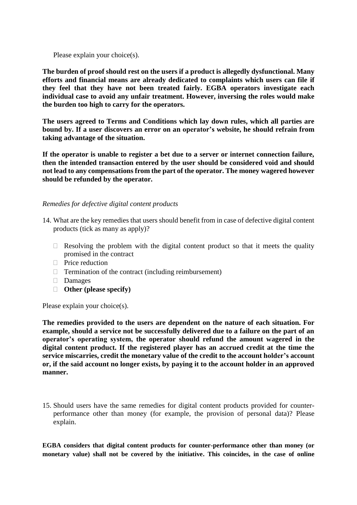Please explain your choice(s).

**The burden of proof should rest on the users if a product is allegedly dysfunctional. Many efforts and financial means are already dedicated to complaints which users can file if they feel that they have not been treated fairly. EGBA operators investigate each individual case to avoid any unfair treatment. However, inversing the roles would make the burden too high to carry for the operators.** 

**The users agreed to Terms and Conditions which lay down rules, which all parties are bound by. If a user discovers an error on an operator's website, he should refrain from taking advantage of the situation.** 

**If the operator is unable to register a bet due to a server or internet connection failure, then the intended transaction entered by the user should be considered void and should not lead to any compensations from the part of the operator. The money wagered however should be refunded by the operator.** 

### *Remedies for defective digital content products*

- 14. What are the key remedies that users should benefit from in case of defective digital content products (tick as many as apply)?
	- $\Box$  Resolving the problem with the digital content product so that it meets the quality promised in the contract
	- $\Box$  Price reduction
	- $\Box$  Termination of the contract (including reimbursement)
	- Damages
	- **Other (please specify)**

Please explain your choice(s).

**The remedies provided to the users are dependent on the nature of each situation. For example, should a service not be successfully delivered due to a failure on the part of an operator's operating system, the operator should refund the amount wagered in the digital content product. If the registered player has an accrued credit at the time the service miscarries, credit the monetary value of the credit to the account holder's account or, if the said account no longer exists, by paying it to the account holder in an approved manner.** 

15. Should users have the same remedies for digital content products provided for counterperformance other than money (for example, the provision of personal data)? Please explain.

**EGBA considers that digital content products for counter-performance other than money (or monetary value) shall not be covered by the initiative. This coincides, in the case of online**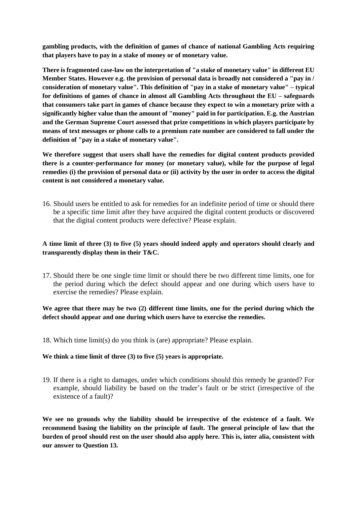**gambling products, with the definition of games of chance of national Gambling Acts requiring that players have to pay in a stake of money or of monetary value.** 

**There is fragmented case-law on the interpretation of "a stake of monetary value" in different EU Member States. However e.g. the provision of personal data is broadly not considered a "pay in / consideration of monetary value". This definition of "pay in a stake of monetary value" – typical for definitions of games of chance in almost all Gambling Acts throughout the EU – safeguards that consumers take part in games of chance because they expect to win a monetary prize with a significantly higher value than the amount of "money" paid in for participation. E.g. the Austrian and the German Supreme Court assessed that prize competitions in which players participate by means of text messages or phone calls to a premium rate number are considered to fall under the definition of "pay in a stake of monetary value".** 

**We therefore suggest that users shall have the remedies for digital content products provided there is a counter-performance for money (or monetary value), while for the purpose of legal remedies (i) the provision of personal data or (ii) activity by the user in order to access the digital content is not considered a monetary value.**

16. Should users be entitled to ask for remedies for an indefinite period of time or should there be a specific time limit after they have acquired the digital content products or discovered that the digital content products were defective? Please explain.

# **A time limit of three (3) to five (5) years should indeed apply and operators should clearly and transparently display them in their T&C.**

17. Should there be one single time limit or should there be two different time limits, one for the period during which the defect should appear and one during which users have to exercise the remedies? Please explain.

# **We agree that there may be two (2) different time limits, one for the period during which the defect should appear and one during which users have to exercise the remedies.**

18. Which time limit(s) do you think is (are) appropriate? Please explain.

#### **We think a time limit of three (3) to five (5) years is appropriate.**

19. If there is a right to damages, under which conditions should this remedy be granted? For example, should liability be based on the trader's fault or be strict (irrespective of the existence of a fault)?

**We see no grounds why the liability should be irrespective of the existence of a fault. We recommend basing the liability on the principle of fault. The general principle of law that the burden of proof should rest on the user should also apply here. This is, inter alia, consistent with our answer to Question 13.**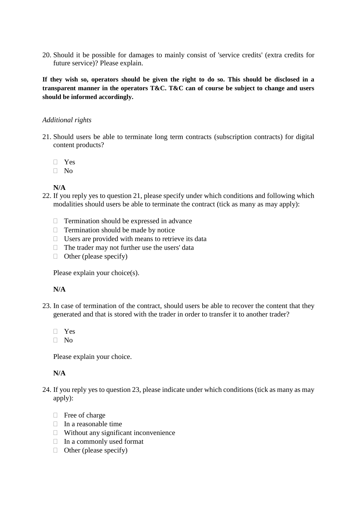20. Should it be possible for damages to mainly consist of 'service credits' (extra credits for future service)? Please explain.

**If they wish so, operators should be given the right to do so. This should be disclosed in a transparent manner in the operators T&C. T&C can of course be subject to change and users should be informed accordingly.** 

### *Additional rights*

- 21. Should users be able to terminate long term contracts (subscription contracts) for digital content products?
	- Yes
	- $\Box$  No

# **N/A**

- 22. If you reply yes to question 21, please specify under which conditions and following which modalities should users be able to terminate the contract (tick as many as may apply):
	- $\Box$  Termination should be expressed in advance
	- $\Box$  Termination should be made by notice
	- $\Box$  Users are provided with means to retrieve its data
	- $\Box$  The trader may not further use the users' data
	- $\Box$  Other (please specify)

Please explain your choice(s).

# **N/A**

- 23. In case of termination of the contract, should users be able to recover the content that they generated and that is stored with the trader in order to transfer it to another trader?
	- Yes
	- $\neg$  No

Please explain your choice.

# **N/A**

- 24. If you reply yes to question 23, please indicate under which conditions (tick as many as may apply):
	- □ Free of charge
	- $\Box$  In a reasonable time
	- $\Box$  Without any significant inconvenience
	- $\Box$  In a commonly used format
	- $\Box$  Other (please specify)